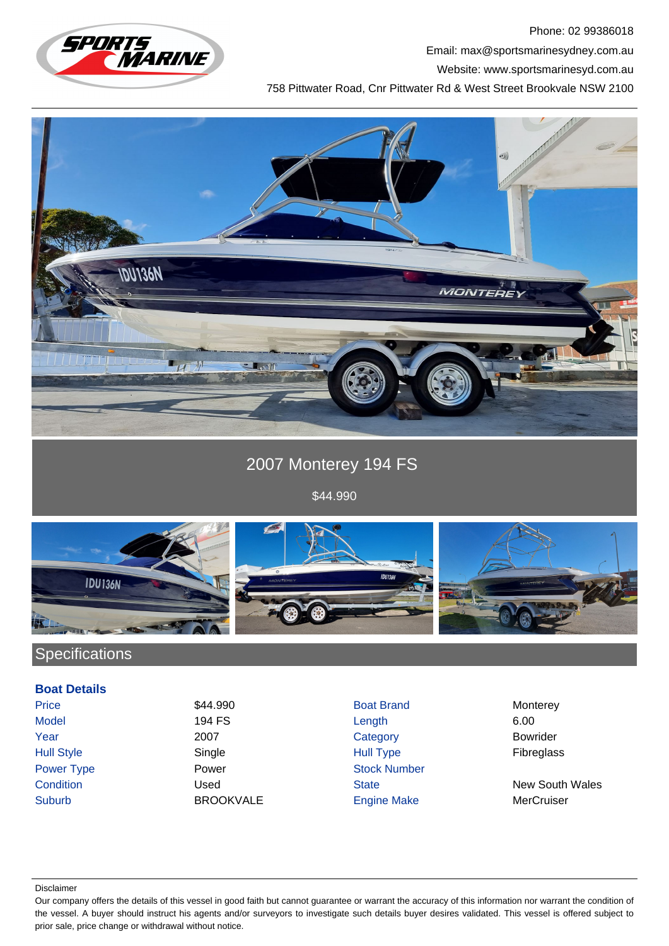

Phone: 02 99386018 Email: max@sportsmarinesydney.com.au Website: www.sportsmarinesyd.com.au 758 Pittwater Road, Cnr Pittwater Rd & West Street Brookvale NSW 2100



# 2007 Monterey 194 FS

\$44.990



### **Specifications**

#### **Boat Details**

Suburb BROOKVALE Engine Make MerCruiser

- Price 344.990 S44.990 Boat Brand Monterey Model 194 FS Length 6.00 Year 2007 Category Bowrider Hull Style Single Hull Type Fibreglass Power Type **Power Stock Number** Power **Power** Stock Number
	-

**Condition** Used Used State State New South Wales

Disclaimer

Our company offers the details of this vessel in good faith but cannot guarantee or warrant the accuracy of this information nor warrant the condition of the vessel. A buyer should instruct his agents and/or surveyors to investigate such details buyer desires validated. This vessel is offered subject to prior sale, price change or withdrawal without notice.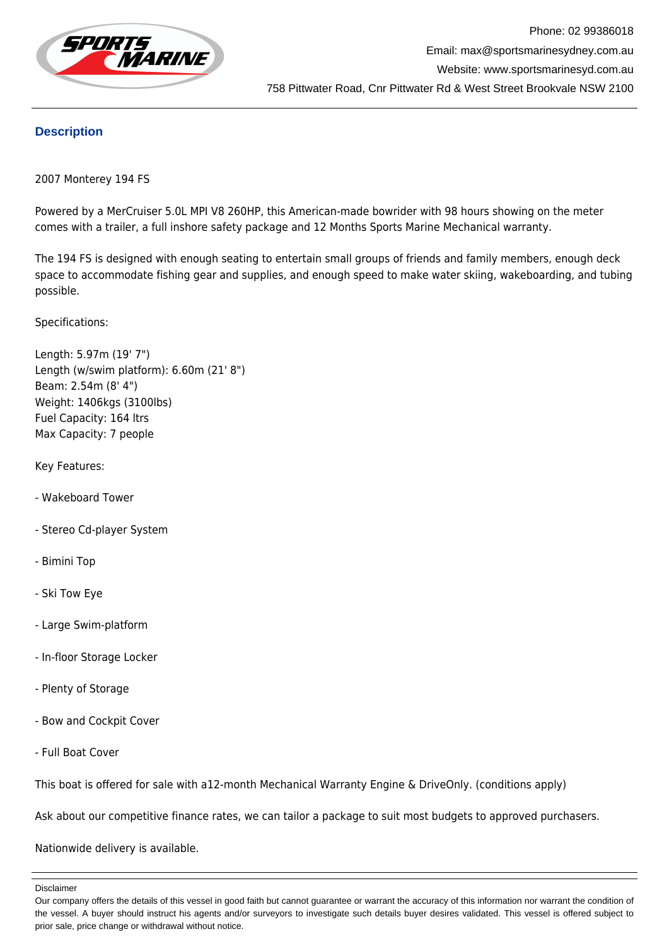

### **Description**

2007 Monterey 194 FS

Powered by a MerCruiser 5.0L MPI V8 260HP, this American-made bowrider with 98 hours showing on the meter comes with a trailer, a full inshore safety package and 12 Months Sports Marine Mechanical warranty.

The 194 FS is designed with enough seating to entertain small groups of friends and family members, enough deck space to accommodate fishing gear and supplies, and enough speed to make water skiing, wakeboarding, and tubing possible.

Specifications:

Length: 5.97m (19' 7") Length (w/swim platform): 6.60m (21' 8") Beam: 2.54m (8' 4") Weight: 1406kgs (3100lbs) Fuel Capacity: 164 ltrs Max Capacity: 7 people

Key Features:

- Wakeboard Tower
- Stereo Cd-player System
- Bimini Top
- Ski Tow Eye
- Large Swim-platform
- In-floor Storage Locker
- Plenty of Storage
- Bow and Cockpit Cover
- Full Boat Cover

This boat is offered for sale with a12-month Mechanical Warranty Engine & DriveOnly. (conditions apply)

Ask about our competitive finance rates, we can tailor a package to suit most budgets to approved purchasers.

Nationwide delivery is available.

Disclaimer

Our company offers the details of this vessel in good faith but cannot guarantee or warrant the accuracy of this information nor warrant the condition of the vessel. A buyer should instruct his agents and/or surveyors to investigate such details buyer desires validated. This vessel is offered subject to prior sale, price change or withdrawal without notice.